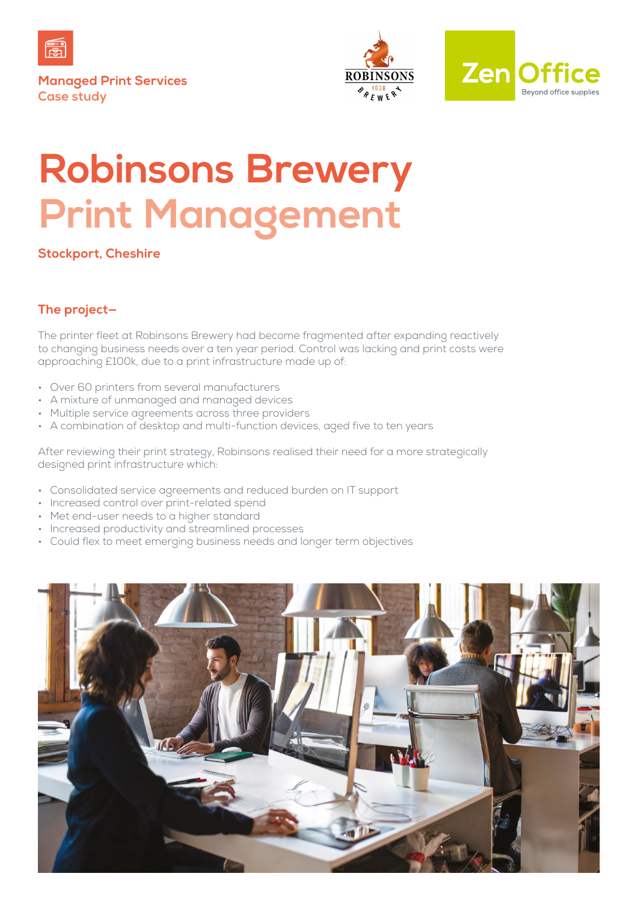

**Managed Print Services Case study**





# **Robinsons Brewery Print Management**

**Stockport, Cheshire**

# **The project—**

The printer fleet at Robinsons Brewery had become fragmented after expanding reactively to changing business needs over a ten year period. Control was lacking and print costs were approaching £100k, due to a print infrastructure made up of:

- Over 60 printers from several manufacturers
- A mixture of unmanaged and managed devices
- Multiple service agreements across three providers
- A combination of desktop and multi-function devices, aged five to ten years

After reviewing their print strategy, Robinsons realised their need for a more strategically designed print infrastructure which:

- Consolidated service agreements and reduced burden on IT support
- Increased control over print-related spend
- Met end-user needs to a higher standard
- Increased productivity and streamlined processes
- Could flex to meet emerging business needs and longer term objectives